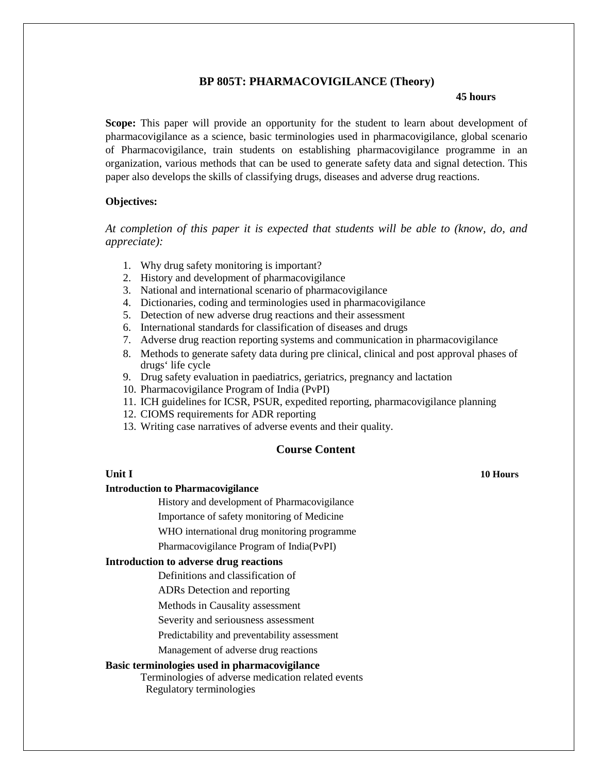### **BP 805T: PHARMACOVIGILANCE (Theory)**

### **45 hours**

**Scope:** This paper will provide an opportunity for the student to learn about development of pharmacovigilance as a science, basic terminologies used in pharmacovigilance, global scenario of Pharmacovigilance, train students on establishing pharmacovigilance programme in an organization, various methods that can be used to generate safety data and signal detection. This paper also develops the skills of classifying drugs, diseases and adverse drug reactions.

### **Objectives:**

*At completion of this paper it is expected that students will be able to (know, do, and appreciate):*

- 1. Why drug safety monitoring is important?
- 2. History and development of pharmacovigilance
- 3. National and international scenario of pharmacovigilance
- 4. Dictionaries, coding and terminologies used in pharmacovigilance
- 5. Detection of new adverse drug reactions and their assessment
- 6. International standards for classification of diseases and drugs
- 7. Adverse drug reaction reporting systems and communication in pharmacovigilance
- 8. Methods to generate safety data during pre clinical, clinical and post approval phases of drugs' life cycle
- 9. Drug safety evaluation in paediatrics, geriatrics, pregnancy and lactation
- 10. Pharmacovigilance Program of India (PvPI)
- 11. ICH guidelines for ICSR, PSUR, expedited reporting, pharmacovigilance planning
- 12. CIOMS requirements for ADR reporting
- 13. Writing case narratives of adverse events and their quality.

# **Course Content**

#### **Unit I**

#### **Introduction to Pharmacovigilance**

History and development of Pharmacovigilance

Importance of safety monitoring of Medicine

WHO international drug monitoring programme

Pharmacovigilance Program of India(PvPI)

#### **Introduction to adverse drug reactions**

Definitions and classification of

ADRs Detection and reporting

Methods in Causality assessment

Severity and seriousness assessment

Predictability and preventability assessment

Management of adverse drug reactions

### **Basic terminologies used in pharmacovigilance**

Terminologies of adverse medication related events Regulatory terminologies

**10 Hours**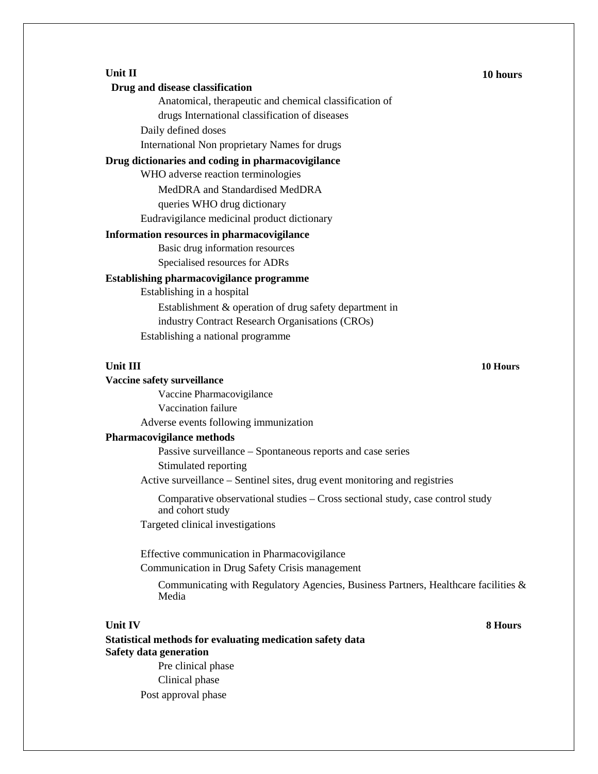### **Unit II**

#### **Drug and disease classification**

Anatomical, therapeutic and chemical classification of

drugs International classification of diseases

Daily defined doses

International Non proprietary Names for drugs

# **Drug dictionaries and coding in pharmacovigilance**

WHO adverse reaction terminologies

MedDRA and Standardised MedDRA

queries WHO drug dictionary

Eudravigilance medicinal product dictionary

#### **Information resources in pharmacovigilance**

Basic drug information resources

Specialised resources for ADRs

### **Establishing pharmacovigilance programme**

Establishing in a hospital Establishment & operation of drug safety department in

industry Contract Research Organisations (CROs)

Establishing a national programme

### **Unit III**

#### **Vaccine safety surveillance**

Vaccine Pharmacovigilance Vaccination failure Adverse events following immunization

#### **Pharmacovigilance methods**

Passive surveillance – Spontaneous reports and case series Stimulated reporting

Active surveillance – Sentinel sites, drug event monitoring and registries

Comparative observational studies – Cross sectional study, case control study and cohort study

Targeted clinical investigations

Effective communication in Pharmacovigilance

Communication in Drug Safety Crisis management

Communicating with Regulatory Agencies, Business Partners, Healthcare facilities  $\&$ Media

### **Unit IV**

**Statistical methods for evaluating medication safety data Safety data generation**

> Pre clinical phase Clinical phase Post approval phase

#### **10 hours**

#### **10 Hours**

**8 Hours**